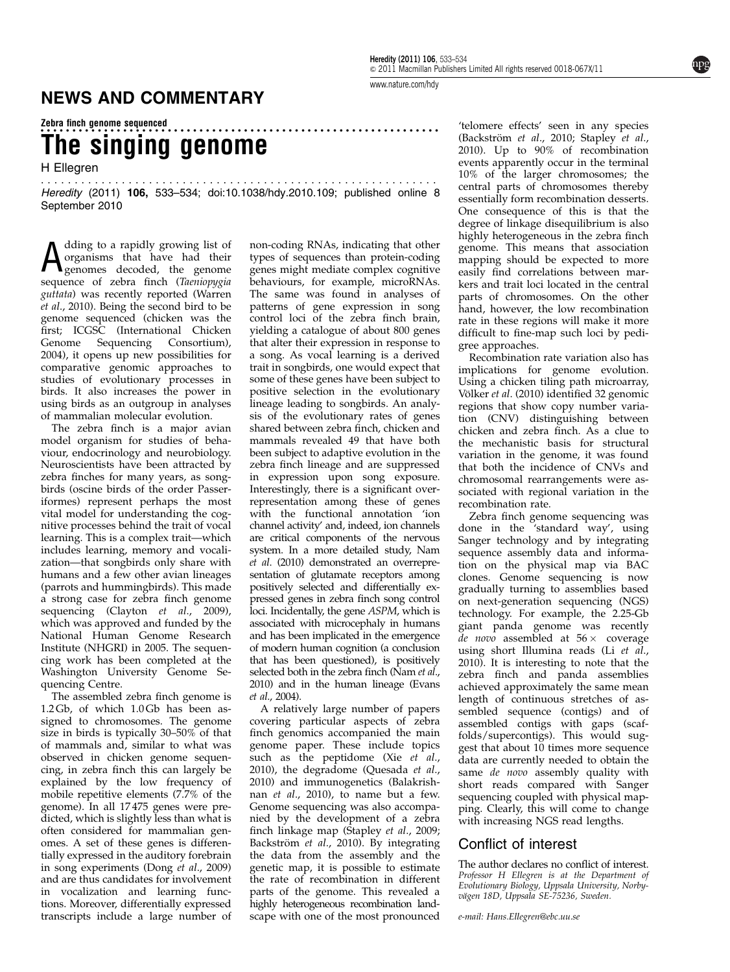The singing genome

H Ellegren

........................................................... Heredity (2011) 106, 533–534; doi[:10.1038/hdy.2010.109;](http://dx.doi.org/10.1038/hdy.2010.109) published online 8 September 2010

A dding to a rapidly growing list of<br>
a organisms that have had their<br>
genomes decoded, the genome organisms that have had their genomes decoded, the genome sequence of zebra finch (Taeniopygia guttata) was recently reported [\(Warren](#page-1-0) et al[., 2010](#page-1-0)). Being the second bird to be genome sequenced (chicken was the first; [ICGSC \(International Chicken](#page-1-0)<br>Genome Sequencing Consortium), Sequencing Consortium), [2004\)](#page-1-0), it opens up new possibilities for comparative genomic approaches to studies of evolutionary processes in birds. It also increases the power in using birds as an outgroup in analyses of mammalian molecular evolution.

The zebra finch is a major avian model organism for studies of behaviour, endocrinology and neurobiology. Neuroscientists have been attracted by zebra finches for many years, as songbirds (oscine birds of the order Passeriformes) represent perhaps the most vital model for understanding the cognitive processes behind the trait of vocal learning. This is a complex trait—which includes learning, memory and vocalization—that songbirds only share with humans and a few other avian lineages (parrots and hummingbirds). This made a strong case for zebra finch genome sequencing (Clayton et al[., 2009\)](#page-1-0), which was approved and funded by the National Human Genome Research Institute (NHGRI) in 2005. The sequencing work has been completed at the Washington University Genome Sequencing Centre.

The assembled zebra finch genome is 1.2 Gb, of which 1.0 Gb has been assigned to chromosomes. The genome size in birds is typically 30–50% of that of mammals and, similar to what was observed in chicken genome sequencing, in zebra finch this can largely be explained by the low frequency of mobile repetitive elements (7.7% of the genome). In all 17 475 genes were predicted, which is slightly less than what is often considered for mammalian genomes. A set of these genes is differentially expressed in the auditory forebrain in song experiments (Dong et al[., 2009\)](#page-1-0) and are thus candidates for involvement in vocalization and learning functions. Moreover, differentially expressed transcripts include a large number of

non-coding RNAs, indicating that other types of sequences than protein-coding genes might mediate complex cognitive behaviours, for example, microRNAs. The same was found in analyses of patterns of gene expression in song control loci of the zebra finch brain, yielding a catalogue of about 800 genes that alter their expression in response to a song. As vocal learning is a derived trait in songbirds, one would expect that some of these genes have been subject to positive selection in the evolutionary lineage leading to songbirds. An analysis of the evolutionary rates of genes shared between zebra finch, chicken and mammals revealed 49 that have both been subject to adaptive evolution in the zebra finch lineage and are suppressed in expression upon song exposure. Interestingly, there is a significant overrepresentation among these of genes with the functional annotation 'ion channel activity' and, indeed, ion channels are critical components of the nervous system. In a more detailed study, [Nam](#page-1-0) et al[. \(2010\)](#page-1-0) demonstrated an overrepresentation of glutamate receptors among positively selected and differentially expressed genes in zebra finch song control loci. Incidentally, the gene ASPM, which is associated with microcephaly in humans and has been implicated in the emergence of modern human cognition (a conclusion that has been questioned), is positively selected both in the zebra finch [\(Nam](#page-1-0) et al., [2010](#page-1-0)) and in the human lineage [\(Evans](#page-1-0) et al[., 2004](#page-1-0)).

A relatively large number of papers covering particular aspects of zebra finch genomics accompanied the main genome paper. These include topics such as the peptidome (Xie [et al](#page-1-0)., [2010](#page-1-0)), the degradome [\(Quesada](#page-1-0) et al., [2010](#page-1-0)) and immunogenetics [\(Balakrish](#page-1-0)nan et al[., 2010](#page-1-0)), to name but a few. Genome sequencing was also accompanied by the development of a zebra finch linkage map ([Stapley](#page-1-0) et al., 2009; Backström et al., 2010). By integrating the data from the assembly and the genetic map, it is possible to estimate the rate of recombination in different parts of the genome. This revealed a highly heterogeneous recombination landscape with one of the most pronounced

[www.nature.com/hdy](http://www.nature.com/hdy)

...............................................................

'telomere effects' seen in any species (Backström et al., 2010; [Stapley](#page-1-0) et al., [2010\)](#page-1-0). Up to 90% of recombination events apparently occur in the terminal 10% of the larger chromosomes; the central parts of chromosomes thereby essentially form recombination desserts. One consequence of this is that the degree of linkage disequilibrium is also highly heterogeneous in the zebra finch genome. This means that association mapping should be expected to more easily find correlations between markers and trait loci located in the central parts of chromosomes. On the other hand, however, the low recombination rate in these regions will make it more difficult to fine-map such loci by pedigree approaches.

Recombination rate variation also has implications for genome evolution. Using a chicken tiling path microarray, Völker et al[. \(2010\)](#page-1-0) identified 32 genomic regions that show copy number variation (CNV) distinguishing between chicken and zebra finch. As a clue to the mechanistic basis for structural variation in the genome, it was found that both the incidence of CNVs and chromosomal rearrangements were associated with regional variation in the recombination rate.

Zebra finch genome sequencing was done in the 'standard way', using Sanger technology and by integrating sequence assembly data and information on the physical map via BAC clones. Genome sequencing is now gradually turning to assemblies based on next-generation sequencing (NGS) technology. For example, the 2.25-Gb giant panda genome was recently *de novo* assembled at  $56 \times$  coverage using short Illumina reads (Li [et al](#page-1-0)., [2010\)](#page-1-0). It is interesting to note that the zebra finch and panda assemblies achieved approximately the same mean length of continuous stretches of assembled sequence (contigs) and of assembled contigs with gaps (scaffolds/supercontigs). This would suggest that about 10 times more sequence data are currently needed to obtain the same *de novo* assembly quality with short reads compared with Sanger sequencing coupled with physical mapping. Clearly, this will come to change with increasing NGS read lengths.

## Conflict of interest

The author declares no conflict of interest. Professor H Ellegren is at the Department of Evolutionary Biology, Uppsala University, Norbyvägen 18D, Uppsala SE-75236, Sweden.

e-mail: [Hans.Ellegren@ebc.uu.se](mailto:Hans.Ellegren@ebc.uu.se)